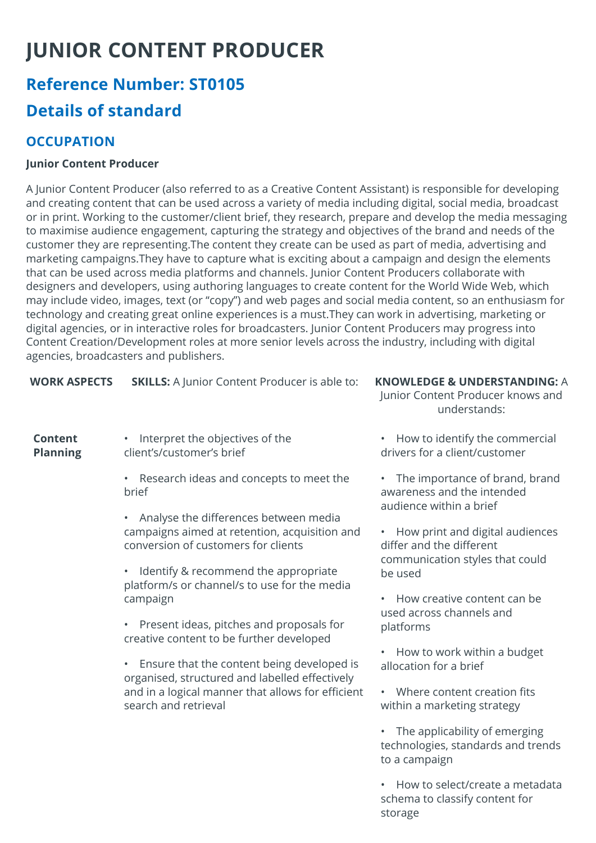# **JUNIOR CONTENT PRODUCER**

## **Reference Number: ST0105 Details of standard**

#### **OCCUPATION**

#### **Junior Content Producer**

A Junior Content Producer (also referred to as a Creative Content Assistant) is responsible for developing and creating content that can be used across a variety of media including digital, social media, broadcast or in print. Working to the customer/client brief, they research, prepare and develop the media messaging to maximise audience engagement, capturing the strategy and objectives of the brand and needs of the customer they are representing.The content they create can be used as part of media, advertising and marketing campaigns.They have to capture what is exciting about a campaign and design the elements that can be used across media platforms and channels. Junior Content Producers collaborate with designers and developers, using authoring languages to create content for the World Wide Web, which may include video, images, text (or "copy") and web pages and social media content, so an enthusiasm for technology and creating great online experiences is a must.They can work in advertising, marketing or digital agencies, or in interactive roles for broadcasters. Junior Content Producers may progress into Content Creation/Development roles at more senior levels across the industry, including with digital agencies, broadcasters and publishers.

| <b>WORK ASPECTS</b> | <b>SKILLS:</b> A Junior Content Producer is able to: |
|---------------------|------------------------------------------------------|
|---------------------|------------------------------------------------------|

**Content Planning** 

- Interpret the objectives of the client's/customer's brief
	- Research ideas and concepts to meet the brief
	- Analyse the differences between media campaigns aimed at retention, acquisition and conversion of customers for clients
	- Identify & recommend the appropriate platform/s or channel/s to use for the media campaign
	- Present ideas, pitches and proposals for creative content to be further developed
	- Ensure that the content being developed is organised, structured and labelled effectively and in a logical manner that allows for efficient search and retrieval

**KNOWLEDGE & UNDERSTANDING: A** 

Junior Content Producer knows and understands:

- How to identify the commercial drivers for a client/customer
- The importance of brand, brand awareness and the intended audience within a brief
- How print and digital audiences differ and the different communication styles that could be used
- How creative content can be used across channels and platforms
- How to work within a budget allocation for a brief
- Where content creation fits within a marketing strategy
- The applicability of emerging technologies, standards and trends to a campaign
- How to select/create a metadata schema to classify content for storage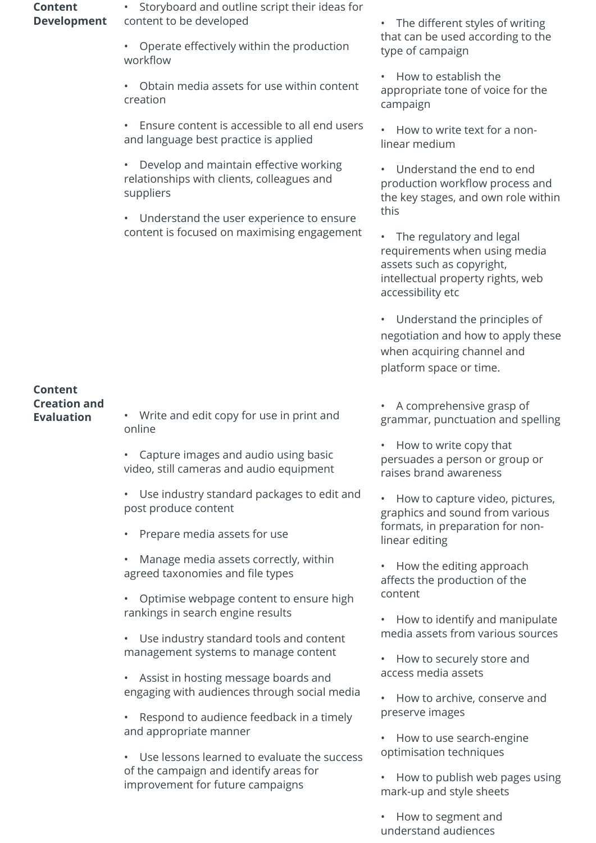**Content Development** • Storyboard and outline script their ideas for content to be developed

• Operate effectively within the production workflow

• Obtain media assets for use within content creation

• Ensure content is accessible to all end users and language best practice is applied

• Develop and maintain effective working relationships with clients, colleagues and suppliers

• Understand the user experience to ensure content is focused on maximising engagement • The different styles of writing that can be used according to the type of campaign

• How to establish the appropriate tone of voice for the campaign

• How to write text for a nonlinear medium

• Understand the end to end production workflow process and the key stages, and own role within this

• The regulatory and legal requirements when using media assets such as copyright, intellectual property rights, web accessibility etc

• Understand the principles of negotiation and how to apply these when acquiring channel and platform space or time.

• A comprehensive grasp of grammar, punctuation and spelling

• How to write copy that persuades a person or group or raises brand awareness

• How to capture video, pictures, graphics and sound from various formats, in preparation for nonlinear editing

• How the editing approach affects the production of the content

• How to identify and manipulate media assets from various sources

• How to securely store and access media assets

• How to archive, conserve and preserve images

• How to use search-engine optimisation techniques

• How to publish web pages using mark-up and style sheets

• How to segment and understand audiences

## **Content Creation and**

**Evaluation** • Write and edit copy for use in print and online

> • Capture images and audio using basic video, still cameras and audio equipment

• Use industry standard packages to edit and post produce content

• Prepare media assets for use

• Manage media assets correctly, within agreed taxonomies and file types

• Optimise webpage content to ensure high rankings in search engine results

Use industry standard tools and content management systems to manage content

• Assist in hosting message boards and engaging with audiences through social media

• Respond to audience feedback in a timely and appropriate manner

• Use lessons learned to evaluate the success of the campaign and identify areas for improvement for future campaigns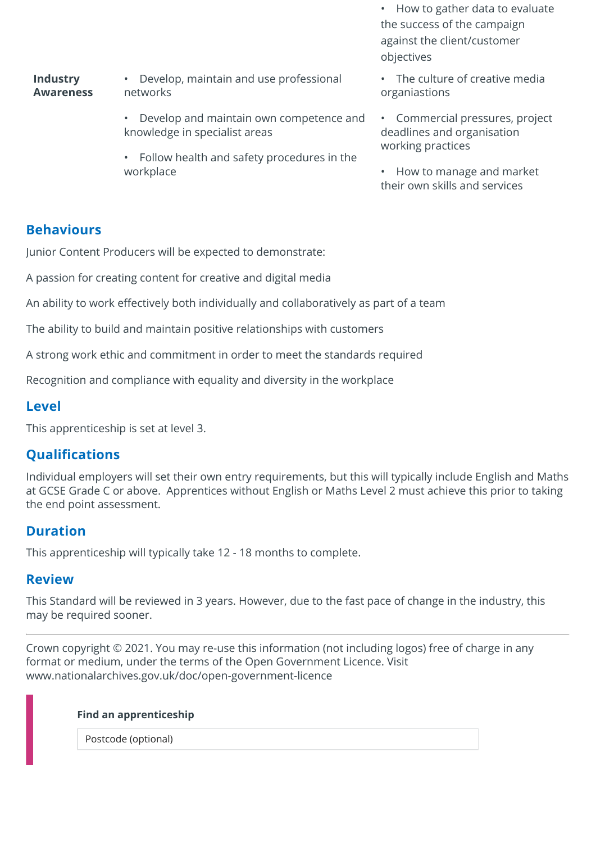• How to gather data to evaluate the success of the campaign against the client/customer objectives

**Industry Awareness**

• Develop, maintain and use professional networks

- Develop and maintain own competence and knowledge in specialist areas
- Follow health and safety procedures in the workplace
- The culture of creative media organiastions
- Commercial pressures, project deadlines and organisation working practices
- How to manage and market their own skills and services

#### **Behaviours**

Junior Content Producers will be expected to demonstrate:

A passion for creating content for creative and digital media

An ability to work effectively both individually and collaboratively as part of a team

The ability to build and maintain positive relationships with customers

A strong work ethic and commitment in order to meet the standards required

Recognition and compliance with equality and diversity in the workplace

#### **Level**

This apprenticeship is set at level 3.

#### **Qualifications**

Individual employers will set their own entry requirements, but this will typically include English and Maths at GCSE Grade C or above. Apprentices without English or Maths Level 2 must achieve this prior to taking the end point assessment.

#### **Duration**

This apprenticeship will typically take 12 - 18 months to complete.

#### **Review**

This Standard will be reviewed in 3 years. However, due to the fast pace of change in the industry, this may be required sooner.

Crown copyright © 2021. You may re-use this information (not including logos) free of charge in any format or medium, under the terms of the Open Government Licence. Visit www.nationalarchives.gov.uk/doc/open-government-licence

#### **Find an apprenticeship**

Postcode (optional)